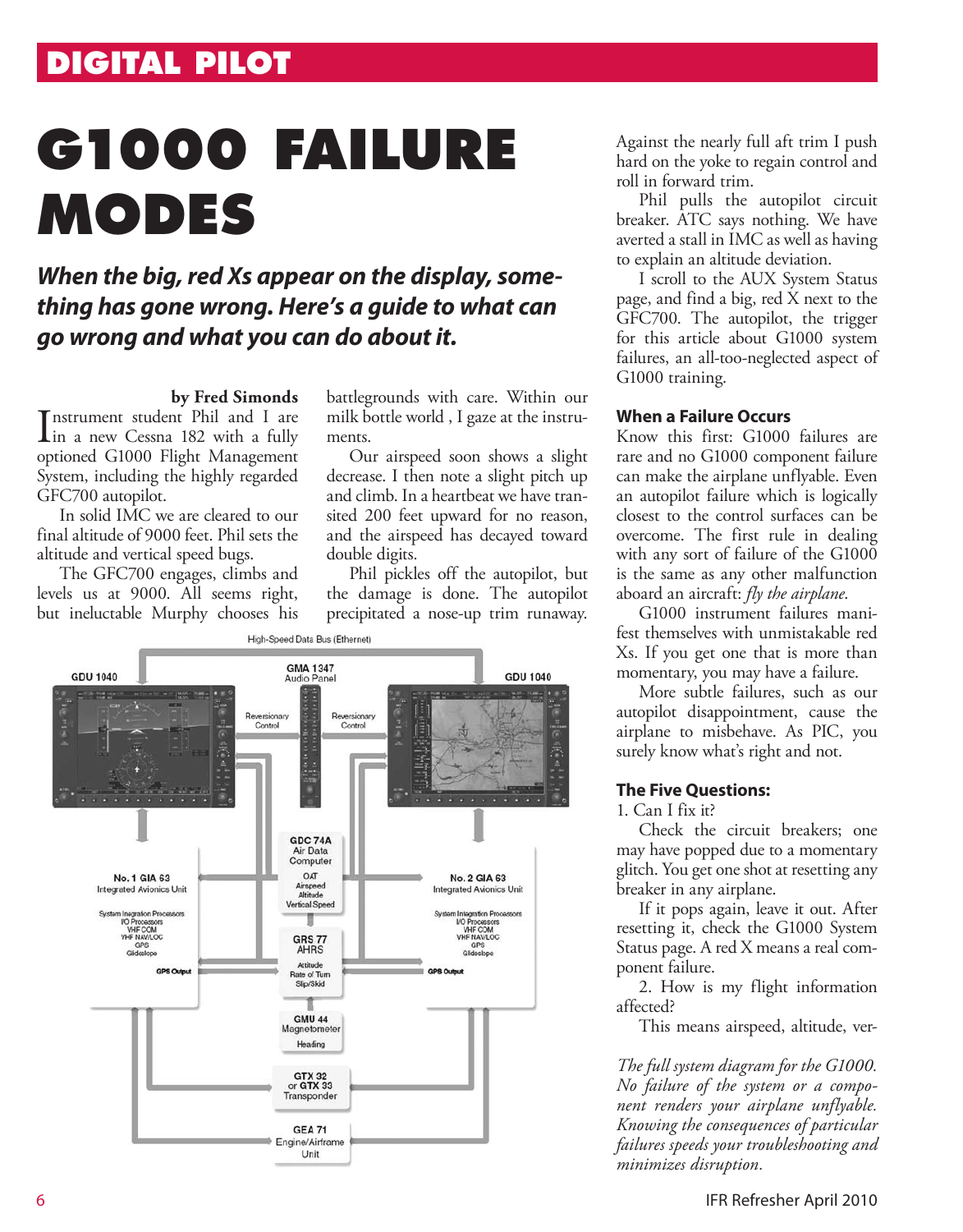## **DIGITAL PILOT**

# **G1000 FAILURE MODES**

### *When the big, red Xs appear on the display, something has gone wrong. Here's a guide to what can go wrong and what you can do about it.*

#### **by Fred Simonds**

Instrument student Phil and I are<br>in a new Cessna 182 with a fully in a new Cessna 182 with a fully optioned G1000 Flight Management System, including the highly regarded GFC700 autopilot.

In solid IMC we are cleared to our final altitude of 9000 feet. Phil sets the altitude and vertical speed bugs.

The GFC700 engages, climbs and levels us at 9000. All seems right, but ineluctable Murphy chooses his battlegrounds with care. Within our milk bottle world , I gaze at the instruments.

Our airspeed soon shows a slight decrease. I then note a slight pitch up and climb. In a heartbeat we have transited 200 feet upward for no reason, and the airspeed has decayed toward double digits.

Phil pickles off the autopilot, but the damage is done. The autopilot precipitated a nose-up trim runaway.



Against the nearly full aft trim I push hard on the yoke to regain control and roll in forward trim.

Phil pulls the autopilot circuit breaker. ATC says nothing. We have averted a stall in IMC as well as having to explain an altitude deviation.

I scroll to the AUX System Status page, and find a big, red X next to the GFC700. The autopilot, the trigger for this article about G1000 system failures, an all-too-neglected aspect of G1000 training.

#### **When a Failure Occurs**

Know this first: G1000 failures are rare and no G1000 component failure can make the airplane unflyable. Even an autopilot failure which is logically closest to the control surfaces can be overcome. The first rule in dealing with any sort of failure of the G1000 is the same as any other malfunction aboard an aircraft: *fly the airplane*.

G1000 instrument failures manifest themselves with unmistakable red Xs. If you get one that is more than momentary, you may have a failure.

More subtle failures, such as our autopilot disappointment, cause the airplane to misbehave. As PIC, you surely know what's right and not.

#### **The Five Questions:**

1. Can I fix it?

Check the circuit breakers; one may have popped due to a momentary glitch. You get one shot at resetting any breaker in any airplane.

If it pops again, leave it out. After resetting it, check the G1000 System Status page. A red X means a real component failure.

2. How is my flight information affected?

This means airspeed, altitude, ver-

*The full system diagram for the G1000. No failure of the system or a component renders your airplane unflyable. Knowing the consequences of particular failures speeds your troubleshooting and minimizes disruption.*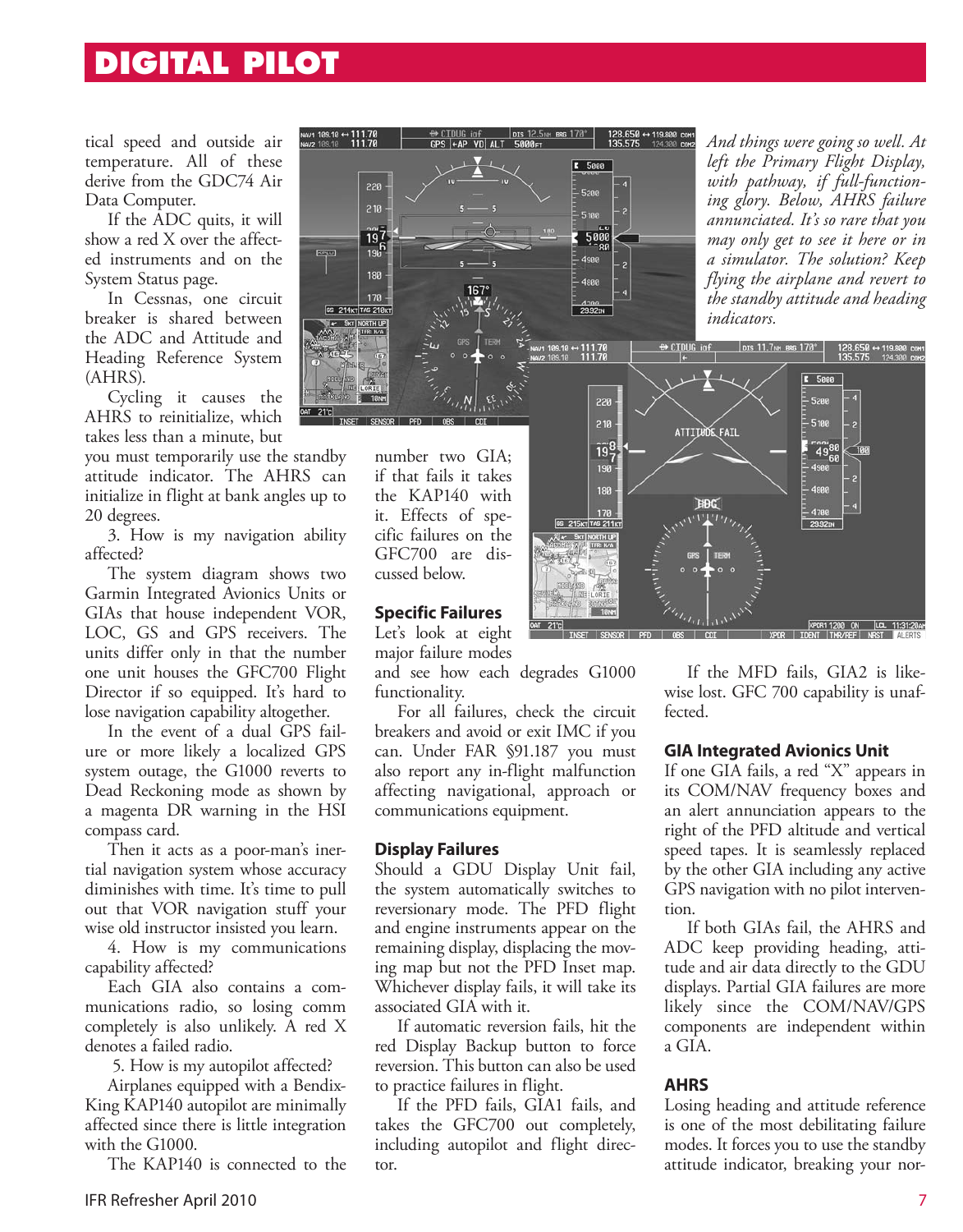## **DIGITAL PILOT**

tical speed and outside air temperature. All of these derive from the GDC74 Air Data Computer.

If the ADC quits, it will show a red X over the affected instruments and on the System Status page.

In Cessnas, one circuit breaker is shared between the ADC and Attitude and Heading Reference System (AHRS).

Cycling it causes the AHRS to reinitialize, which takes less than a minute, but

you must temporarily use the standby attitude indicator. The AHRS can initialize in flight at bank angles up to 20 degrees.

3. How is my navigation ability affected?

The system diagram shows two Garmin Integrated Avionics Units or GIAs that house independent VOR, LOC, GS and GPS receivers. The units differ only in that the number one unit houses the GFC700 Flight Director if so equipped. It's hard to lose navigation capability altogether.

In the event of a dual GPS failure or more likely a localized GPS system outage, the G1000 reverts to Dead Reckoning mode as shown by a magenta DR warning in the HSI compass card.

Then it acts as a poor-man's inertial navigation system whose accuracy diminishes with time. It's time to pull out that VOR navigation stuff your wise old instructor insisted you learn.

4. How is my communications capability affected?

Each GIA also contains a communications radio, so losing comm completely is also unlikely. A red X denotes a failed radio.

5. How is my autopilot affected?

Airplanes equipped with a Bendix-King KAP140 autopilot are minimally affected since there is little integration with the G1000.

The KAP140 is connected to the



*And things were going so well. At left the Primary Flight Display, with pathway, if full-functioning glory. Below, AHRS failure annunciated. It's so rare that you may only get to see it here or in a simulator. The solution? Keep flying the airplane and revert to the standby attitude and heading indicators.* 



number two GIA; if that fails it takes the KAP140 with it. Effects of specific failures on the GFC700 are discussed below.

#### **Specific Failures**

Let's look at eight major failure modes

and see how each degrades G1000 functionality.

For all failures, check the circuit breakers and avoid or exit IMC if you can. Under FAR §91.187 you must also report any in-flight malfunction affecting navigational, approach or communications equipment.

#### **Display Failures**

Should a GDU Display Unit fail, the system automatically switches to reversionary mode. The PFD flight and engine instruments appear on the remaining display, displacing the moving map but not the PFD Inset map. Whichever display fails, it will take its associated GIA with it.

If automatic reversion fails, hit the red Display Backup button to force reversion. This button can also be used to practice failures in flight.

If the PFD fails, GIA1 fails, and takes the GFC700 out completely, including autopilot and flight director.

If the MFD fails, GIA2 is likewise lost. GFC 700 capability is unaffected.

#### **GIA Integrated Avionics Unit**

If one GIA fails, a red "X" appears in its COM/NAV frequency boxes and an alert annunciation appears to the right of the PFD altitude and vertical speed tapes. It is seamlessly replaced by the other GIA including any active GPS navigation with no pilot intervention.

If both GIAs fail, the AHRS and ADC keep providing heading, attitude and air data directly to the GDU displays. Partial GIA failures are more likely since the COM/NAV/GPS components are independent within a GIA.

#### **AHRS**

Losing heading and attitude reference is one of the most debilitating failure modes. It forces you to use the standby attitude indicator, breaking your nor-